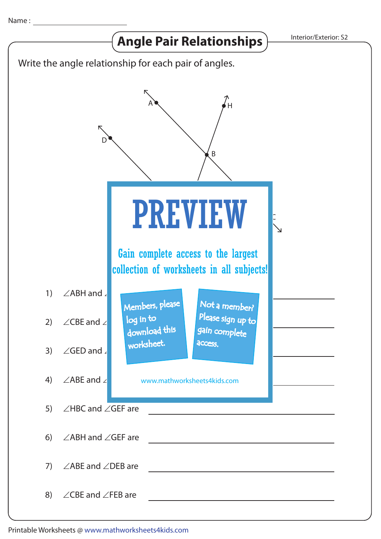